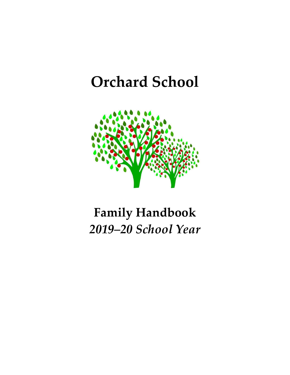# **Orchard School**



# **Family Handbook** *2019–20 School Year*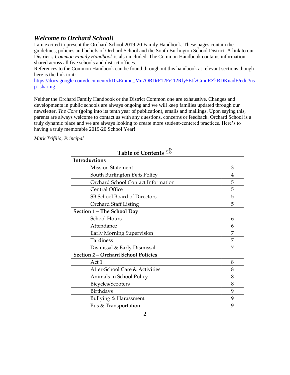#### *Welcome to Orchard School!*

I am excited to present the Orchard School 2019-20 Family Handbook. These pages contain the guidelines, policies and beliefs of Orchard School and the South Burlington School District. A link to our District's *Common Family Handbook* is also included. The Common Handbook contains information shared across all five schools and district offices.

References to the Common Handbook can be found throughout this handbook at relevant sections though here is the link to it:

[https://docs.google.com/document/d/10zEmmu\\_Mn7ORDrF12Fe2I2Rfy5EtfzGmnRZkRDKuadE/edit?us](https://docs.google.com/document/d/10zEmmu_Mn7ORDrF12Fe2I2Rfy5EtfzGmnRZkRDKuadE/edit?usp=sharing) [p=sharing](https://docs.google.com/document/d/10zEmmu_Mn7ORDrF12Fe2I2Rfy5EtfzGmnRZkRDKuadE/edit?usp=sharing)

Neither the Orchard Family Handbook or the District Common one are exhaustive. Changes and developments in public schools are always ongoing and we will keep families updated through our newsletter, *The Core* (going into its tenth year of publication), emails and mailings. Upon saying this, parents are always welcome to contact us with any questions, concerns or feedback. Orchard School is a truly dynamic place and we are always looking to create more student-centered practices. Here's to having a truly memorable 2019-20 School Year!

*Mark Trifilio, Principal*

| Introductions                              |   |
|--------------------------------------------|---|
| <b>Mission Statement</b>                   | 3 |
| South Burlington Ends Policy               | 4 |
| Orchard School Contact Information         | 5 |
| <b>Central Office</b>                      | 5 |
| SB School Board of Directors               | 5 |
| <b>Orchard Staff Listing</b>               | 5 |
| Section 1 - The School Day                 |   |
| School Hours                               | 6 |
| Attendance                                 | 6 |
| <b>Early Morning Supervision</b>           | 7 |
| Tardiness                                  | 7 |
| Dismissal & Early Dismissal                | 7 |
| <b>Section 2 - Orchard School Policies</b> |   |
| Act 1                                      | 8 |
| After-School Care & Activities             | 8 |
| Animals in School Policy                   | 8 |
| Bicycles/Scooters                          | 8 |
| Birthdays                                  | 9 |
| <b>Bullying &amp; Harassment</b>           | 9 |
| Bus & Transportation                       | 9 |

## **Table of Contents**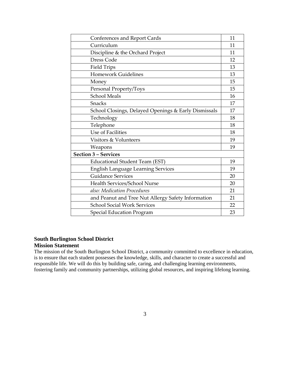| <b>Conferences and Report Cards</b>                  | 11 |
|------------------------------------------------------|----|
| Curriculum                                           | 11 |
| Discipline & the Orchard Project                     | 11 |
| <b>Dress Code</b>                                    | 12 |
| <b>Field Trips</b>                                   | 13 |
| <b>Homework Guidelines</b>                           | 13 |
| Money                                                | 15 |
| Personal Property/Toys                               | 15 |
| <b>School Meals</b>                                  | 16 |
| <b>Snacks</b>                                        | 17 |
| School Closings, Delayed Openings & Early Dismissals | 17 |
| Technology                                           | 18 |
| Telephone                                            | 18 |
| Use of Facilities                                    | 18 |
| Visitors & Volunteers                                | 19 |
| Weapons                                              | 19 |
| <b>Section 3 - Services</b>                          |    |
| Educational Student Team (EST)                       | 19 |
| <b>English Language Learning Services</b>            | 19 |
| <b>Guidance Services</b>                             | 20 |
| Health Services/School Nurse                         | 20 |
| also: Medication Procedures                          | 21 |
| and Peanut and Tree Nut Allergy Safety Information   | 21 |
| <b>School Social Work Services</b>                   | 22 |
| <b>Special Education Program</b>                     | 23 |

#### **South Burlington School District Mission Statement**

The mission of the South Burlington School District, a community committed to excellence in education, is to ensure that each student possesses the knowledge, skills, and character to create a successful and responsible life. We will do this by building safe, caring, and challenging learning environments, fostering family and community partnerships, utilizing global resources, and inspiring lifelong learning.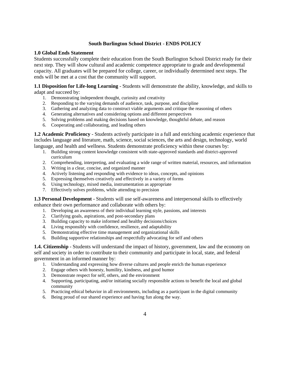#### **South Burlington School District** - **ENDS POLICY**

#### **1.0 Global Ends Statement**

Students successfully complete their education from the South Burlington School District ready for their next step. They will show cultural and academic competence appropriate to grade and developmental capacity. All graduates will be prepared for college, career, or individually determined next steps. The ends will be met at a cost that the community will support.

**1.1 Disposition for Life-long Learning** - Students will demonstrate the ability, knowledge, and skills to adapt and succeed by:

- 1. Demonstrating independent thought, curiosity and creativity
- 2. Responding to the varying demands of audience, task, purpose, and discipline
- 3. Gathering and analyzing data to construct viable arguments and critique the reasoning of others
- 4. Generating alternatives and considering options and different perspectives
- 5. Solving problems and making decisions based on knowledge, thoughtful debate, and reason
- 6. Cooperating and collaborating, and leading others

**1.2 Academic Proficiency** - Students actively participate in a full and enriching academic experience that includes language and literature, math, science, social sciences, the arts and design, technology, world language, and health and wellness. Students demonstrate proficiency within these courses by:

- 1. Building strong content knowledge consistent with state-approved standards and district-approved curriculum
- 2. Comprehending, interpreting, and evaluating a wide range of written material, resources, and information
- 3. Writing in a clear, concise, and organized manner
- 4. Actively listening and responding with evidence to ideas, concepts, and opinions
- 5. Expressing themselves creatively and effectively in a variety of forms
- 6. Using technology, mixed media, instrumentation as appropriate
- 7. Effectively solves problems, while attending to precision

**1.3 Personal Development** - Students will use self-awareness and interpersonal skills to effectively enhance their own performance and collaborate with others by:

- 1. Developing an awareness of their individual learning style, passions, and interests
- 2. Clarifying goals, aspirations, and post-secondary plans
- 3. Building capacity to make informed and healthy decisions/choices
- 4. Living responsibly with confidence, resilience, and adaptability
- 5. Demonstrating effective time management and organizational skills
- 6. Building supportive relationships and respectfully advocating for self and others

**1.4. Citizenship** - Students will understand the impact of history, government, law and the economy on self and society in order to contribute to their community and participate in local, state, and federal government in an informed manner by:

- 1. Understanding and expressing how diverse cultures and people enrich the human experience
- 2. Engage others with honesty, humility, kindness, and good humor
- 3. Demonstrate respect for self, others, and the environment
- 4. Supporting, participating, and/or initiating socially responsible actions to benefit the local and global community
- 5. Practicing ethical behavior in all environments, including as a participant in the digital community
- 6. Being proud of our shared experience and having fun along the way.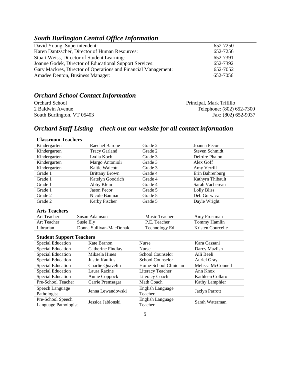## *South Burlington Central Office Information*

| David Young, Superintendent:                                   | 652-7250 |
|----------------------------------------------------------------|----------|
| Karen Dantzscher, Director of Human Resources:                 | 652-7256 |
| Stuart Weiss, Director of Student Learning:                    | 652-7391 |
| Joanne Godek, Director of Educational Support Services:        | 652-7392 |
| Gary Mackres, Director of Operations and Financial Management: | 652-7052 |
| Amadee Denton, Business Manager:                               | 652-7056 |

### *Orchard School Contact Information*

Orchard School Principal, Mark Trifilio 2 Baldwin Avenue Telephone: (802) 652-7300<br>
South Burlington, VT 05403<br>
Fax: (802) 652-9037 South Burlington, VT 05403

## *Orchard Staff Listing – check out our website for all contact information*

#### **Classroom Teachers**

| Kindergarten | Raechel Barone        | Grade 2 | Joanna Pecor     |
|--------------|-----------------------|---------|------------------|
| Kindergarten | <b>Tracy Garland</b>  | Grade 2 | Steven Schmidt   |
| Kindergarten | Lydia Koch            | Grade 3 | Deirdre Phalon   |
| Kindergarten | Margo Antonioli       | Grade 3 | Alex Goff        |
| Kindergarten | Kaitie Walcott        | Grade 3 | Amy Verrill      |
| Grade 1      | <b>Brittany Brown</b> | Grade 4 | Erin Bahrenburg  |
| Grade 1      | Katelyn Goodrich      | Grade 4 | Kathyrn Thibault |
| Grade 1      | Abby Klein            | Grade 4 | Sarah Vachereau  |
| Grade 1      | <b>Jason Pecor</b>    | Grade 5 | Lolly Bliss      |
| Grade 2      | Nicole Bauman         | Grade 5 | Deb Gurwicz      |
| Grade 2      | Kerby Fischer         | Grade 5 | Dayle Wright     |

#### **Arts Teachers**

| Art Teacher | Susan Adamson            | Music Teacher | Amy Frostman      |
|-------------|--------------------------|---------------|-------------------|
| Art Teacher | Susie Ely                | P.E. Teacher  | Tommy Hamlin      |
| Librarian   | Donna Sullivan-MacDonald | Technology Ed | Kristen Courcelle |

#### **Student Support Teachers**

| Special Education                         | Kate Branon       | <b>Nurse</b>                | Kara Cassani          |
|-------------------------------------------|-------------------|-----------------------------|-----------------------|
| Special Education                         | Catherine Findlay | <b>Nurse</b>                | Darcy Mazlish         |
| <b>Special Education</b>                  | Mikaela Hines     | School Counselor            | Aili Beeli            |
| Special Education                         | Justin Kaulius    | School Counselor            | <b>Auriel Gray</b>    |
| Special Education                         | Charlie Quavelin  | Home-School Clinician       | Melissa McConnell     |
| Special Education                         | Laura Racine      | Literacy Teacher            | Ann Knox              |
| Special Education                         | Annie Coppock     | Literacy Coach              | Kathleen Collaro      |
| Pre-School Teacher                        | Carrie Premsagar  | Math Coach                  | Kathy Lamphier        |
| Speech Language<br>Pathologist            | Jenna Lewandowski | English Language<br>Teacher | <b>Jaclyn Parrott</b> |
| Pre-School Speech<br>Language Pathologist | Jessica Jablonski | English Language<br>Teacher | Sarah Waterman        |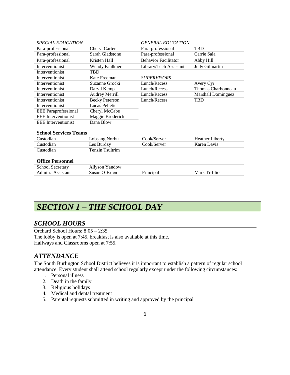| <b>SPECIAL EDUCATION</b>    |                       | <b>GENERAL EDUCATION</b>    |                           |
|-----------------------------|-----------------------|-----------------------------|---------------------------|
| Para-professional           | Cheryl Carter         | Para-professional           | <b>TBD</b>                |
| Para-professional           | Sarah Gladstone       | Para-professional           | Carrie Sala               |
| Para-professional           | Kristen Hall          | <b>Behavior Facilitator</b> | Abby Hill                 |
| Interventionist             | Wendy Faulkner        | Library/Tech Assistant      | Judy Gilmartin            |
| Interventionist             | <b>TBD</b>            |                             |                           |
| Interventionist             | Kate Freeman          | <b>SUPERVISORS</b>          |                           |
| Interventionist             | Suzanne Grocki        | Lunch/Recess                | Avery Cyr                 |
| Interventionist             | Daryll Kemp           | Lunch/Recess                | Thomas Charbonneau        |
| Interventionist             | <b>Audrey Merrill</b> | Lunch/Recess                | <b>Marshall Dominguez</b> |
| Interventionist             | <b>Becky Peterson</b> | Lunch/Recess                | <b>TBD</b>                |
| Interventionist             | Lucas Pelletier       |                             |                           |
| <b>EEE</b> Paraprofessional | Cheryl McCabe         |                             |                           |
| <b>EEE</b> Interventionist  | Maggie Broderick      |                             |                           |
| <b>EEE</b> Interventionist  | Dana Blow             |                             |                           |

#### **School Services Teams**

| Custodian | Lobsang Norbu   | Cook/Server | <b>Heather Liberty</b> |
|-----------|-----------------|-------------|------------------------|
| Custodian | Les Burdzy      | Cook/Server | Karen Davis            |
| Custodian | Tenzin Tsultrim |             |                        |
|           |                 |             |                        |

#### **Office Personnel**

| <b>School Secretary</b> | Yandow<br>Allyson ' |               |
|-------------------------|---------------------|---------------|
| Admin<br>Assistam       | )'Rrien<br>Susan (  | Mark Trifilio |

# *SECTION 1 – THE SCHOOL DAY*

#### *SCHOOL HOURS*

Orchard School Hours: 8:05 – 2:35 The lobby is open at 7:45, breakfast is also available at this time. Hallways and Classrooms open at 7:55.

#### *ATTENDANCE*

The South Burlington School District believes it is important to establish a pattern of regular school attendance. Every student shall attend school regularly except under the following circumstances:

- 1. Personal illness
- 2. Death in the family
- 3. Religious holidays
- 4. Medical and dental treatment
- 5. Parental requests submitted in writing and approved by the principal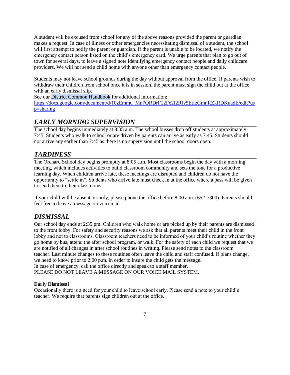A student will be excused from school for any of the above reasons provided the parent or guardian makes a request. In case of illness or other emergencies necessitating dismissal of a student, the school will first attempt to notify the parent or guardian. If the parent is unable to be located, we notify the emergency contact person listed on the child's emergency card. We urge parents that plan to go out of town for several days, to leave a signed note identifying emergency contact people and daily childcare providers. We will not send a child home with anyone other than emergency contact people.

Students may not leave school grounds during the day without approval from the office. If parents wish to withdraw their children from school once it is in session, the parent must sign the child out at the office with an early dismissal slip.

See our District Common Handbook for additional information:

[https://docs.google.com/document/d/10zEmmu\\_Mn7ORDrF12Fe2I2Rfy5EtfzGmnRZkRDKuadE/edit?us](https://docs.google.com/document/d/10zEmmu_Mn7ORDrF12Fe2I2Rfy5EtfzGmnRZkRDKuadE/edit?usp=sharing) [p=sharing](https://docs.google.com/document/d/10zEmmu_Mn7ORDrF12Fe2I2Rfy5EtfzGmnRZkRDKuadE/edit?usp=sharing)

## *EARLY MORNING SUPERVISION*

The school day begins immediately at 8:05 a.m. The school busses drop off students at approximately 7:45. Students who walk to school or are driven by parents can arrive as early as 7:45. Students should not arrive any earlier than 7:45 as there is no supervision until the school doors open.

## *TARDINESS*

The Orchard School day begins promptly at 8:05 a.m. Most classrooms begin the day with a morning meeting, which includes activities to build classroom community and sets the tone for a productive learning day. When children arrive late, these meetings are disrupted and children do not have the opportunity to "settle in". Students who arrive late must check in at the office where a pass will be given to send them to their classrooms.

If your child will be absent or tardy, please phone the office before 8:00 a.m. (652-7300). Parents should feel free to leave a message on voicemail.

## *DISMISSAL*

Our school day ends at 2:35 pm. Children who walk home or are picked up by their parents are dismissed to the front lobby. For safety and security reasons we ask that all parents meet their child in the front lobby and not to classrooms. Classroom teachers need to be informed of your child's routine whether they go home by bus, attend the after school program, or walk. For the safety of each child we request that we are notified of all changes in after school routines in writing. Please send notes to the classroom teacher. Last minute changes to these routines often leave the child and staff confused. If plans change, we need to know prior to 2:00 p.m. in order to insure the child gets the message. In case of emergency, call the office directly and speak to a staff member. PLEASE DO NOT LEAVE A MESSAGE ON OUR VOICE MAIL SYSTEM.

#### **Early Dismissal**

Occasionally there is a need for your child to leave school early. Please send a note to your child's teacher. We require that parents sign children out at the office.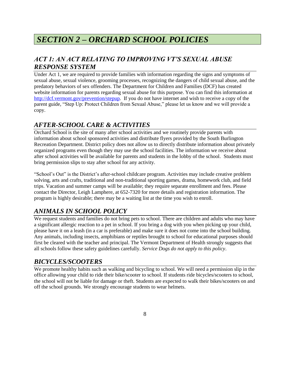# *SECTION 2 – ORCHARD SCHOOL POLICIES*

## *ACT 1: AN ACT RELATING TO IMPROVING VT'S SEXUAL ABUSE RESPONSE SYSTEM*

Under Act 1, we are required to provide families with information regarding the signs and symptoms of sexual abuse, sexual violence, grooming processes, recognizing the dangers of child sexual abuse, and the predatory behaviors of sex offenders. The Department for Children and Families (DCF) has created website information for parents regarding sexual abuse for this purpose. You can find this information at [http://dcf.vermont.gov/prevention/stepup.](http://dcf.vermont.gov/prevention/stepup) If you do not have internet and wish to receive a copy of the parent guide, "Step Up: Protect Children from Sexual Abuse," please let us know and we will provide a copy.

## *AFTER-SCHOOL CARE & ACTIVITIES*

Orchard School is the site of many after school activities and we routinely provide parents with information about school sponsored activities and distribute flyers provided by the South Burlington Recreation Department. District policy does not allow us to directly distribute information about privately organized programs even though they may use the school facilities. The information we receive about after school activities will be available for parents and students in the lobby of the school. Students must bring permission slips to stay after school for any activity.

"School's Out" is the District's after-school childcare program. Activities may include creative problem solving, arts and crafts, traditional and non-traditional sporting games, drama, homework club, and field trips. Vacation and summer camps will be available; they require separate enrollment and fees. Please contact the Director, Leigh Lamphere, at 652-7320 for more details and registration information. The program is highly desirable; there may be a waiting list at the time you wish to enroll.

## *ANIMALS IN SCHOOL POLICY*

We request students and families do not bring pets to school. There are children and adults who may have a significant allergic reaction to a pet in school. If you bring a dog with you when picking up your child, please have it on a leash (in a car is preferable) and make sure it does not come into the school building. Any animals, including insects, amphibians or reptiles brought to school for educational purposes should first be cleared with the teacher and principal. The Vermont Department of Health strongly suggests that all schools follow these safety guidelines carefully. *Service Dogs do not apply to this policy*.

## *BICYCLES/SCOOTERS*

We promote healthy habits such as walking and bicycling to school. We will need a permission slip in the office allowing your child to ride their bike/scooter to school. If students ride bicycles/scooters to school, the school will not be liable for damage or theft. Students are expected to walk their bikes/scooters on and off the school grounds. We strongly encourage students to wear helmets.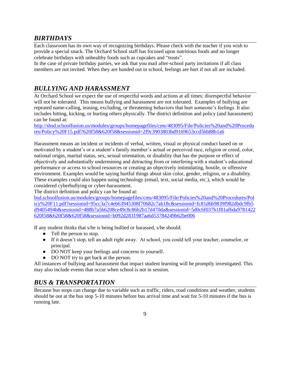### *BIRTHDAYS*

Each classroom has its own way of recognizing birthdays. Please check with the teacher if you wish to provide a special snack. The Orchard School staff has focused upon nutritious foods and no longer celebrate birthdays with unhealthy foods such as cupcakes and "treats".

In the case of private birthday parties, we ask that you mail after-school party invitations if all class members are not invited. When they are handed out in school, feelings are hurt if not all are included.

## *BULLYING AND HARASSMENT*

At Orchard School we expect the use of respectful words and actions at all times; disrespectful behavior will not be tolerated. This means bullying and harassment are not tolerated. Examples of bullying are repeated name-calling, teasing, excluding, or threatening behaviors that hurt someone's feelings. It also includes hitting, kicking, or hurting others physically. The district definition and policy (and harassment) can be found at:

[http://sbsd.schoolfusion.us/modules/groups/homepagefiles/cms/483095/File/Policies%20and%20Procedu](http://sbsd.schoolfusion.us/modules/groups/homepagefiles/cms/483095/File/Policies%20and%20Procedures/Policy%20F15.pdf?620f58&620f58&sessionid=2f9c3903803bd9169653ccd5bb88b1a6) [res/Policy%20F15.pdf?620f58&620f58&sessionid=2f9c3903803bd9169653ccd5bb88b1a6](http://sbsd.schoolfusion.us/modules/groups/homepagefiles/cms/483095/File/Policies%20and%20Procedures/Policy%20F15.pdf?620f58&620f58&sessionid=2f9c3903803bd9169653ccd5bb88b1a6)

Harassment means an incident or incidents of verbal, written, visual or physical conduct based on or motivated by a student's or a student's family member's actual or perceived race, religion or creed, color, national origin, marital status, sex, sexual orientation, or disability that has the purpose or effect of objectively and substantially undermining and detracting from or interfering with a student's educational performance or access to school resources or creating an objectively intimidating, hostile, or offensive environment. Examples would be saying hurtful things about skin color, gender, religion, or a disability. These examples could also happen using technology (email, text, social media, etc.), which would be considered cyberbullying or cyber-harassment.

The district definition and policy can be found at:

[bsd.schoolfusion.us/modules/groups/homepagefiles/cms/483095/File/Policies%20and%20Procedures/Pol](http://bsd.schoolfusion.us/modules/groups/homepagefiles/cms/483095/File/Policies%20and%20Procedures/Policy%20F11.pdf?sessionid=95cc3a7c4eb63945308f70682c7ab18c&sessionid=fc81d6b9839f982dbdc9fb5d9405494b&sessionid=488b7a5b6208ce49c8c86b2b17d470da&sessionid=5d0c6f037b1f81af6da9781422620f58&620f58&620f58&sessionid=b092d2831987aa6d53784249b62be006) [icy%20F11.pdf?sessionid=95cc3a7c4eb63945308f70682c7ab18c&sessionid=fc81d6b9839f982dbdc9fb5](http://bsd.schoolfusion.us/modules/groups/homepagefiles/cms/483095/File/Policies%20and%20Procedures/Policy%20F11.pdf?sessionid=95cc3a7c4eb63945308f70682c7ab18c&sessionid=fc81d6b9839f982dbdc9fb5d9405494b&sessionid=488b7a5b6208ce49c8c86b2b17d470da&sessionid=5d0c6f037b1f81af6da9781422620f58&620f58&620f58&sessionid=b092d2831987aa6d53784249b62be006) [d9405494b&sessionid=488b7a5b6208ce49c8c86b2b17d470da&sessionid=5d0c6f037b1f81af6da9781422](http://bsd.schoolfusion.us/modules/groups/homepagefiles/cms/483095/File/Policies%20and%20Procedures/Policy%20F11.pdf?sessionid=95cc3a7c4eb63945308f70682c7ab18c&sessionid=fc81d6b9839f982dbdc9fb5d9405494b&sessionid=488b7a5b6208ce49c8c86b2b17d470da&sessionid=5d0c6f037b1f81af6da9781422620f58&620f58&620f58&sessionid=b092d2831987aa6d53784249b62be006) [620f58&620f58&620f58&sessionid=b092d2831987aa6d53784249b62be006](http://bsd.schoolfusion.us/modules/groups/homepagefiles/cms/483095/File/Policies%20and%20Procedures/Policy%20F11.pdf?sessionid=95cc3a7c4eb63945308f70682c7ab18c&sessionid=fc81d6b9839f982dbdc9fb5d9405494b&sessionid=488b7a5b6208ce49c8c86b2b17d470da&sessionid=5d0c6f037b1f81af6da9781422620f58&620f58&620f58&sessionid=b092d2831987aa6d53784249b62be006)

If any student thinks that s/he is being bullied or harassed, s/he should:

- Tell the person to stop.
- If it doesn't stop, tell an adult right away. At school, you could tell your teacher, counselor, or principal.
- DO NOT keep your feelings and concerns to yourself.
- DO NOT try to get back at the person.

All instances of bullying and harassment that impact student learning will be promptly investigated. This may also include events that occur when school is not in session.

#### *BUS & TRANSPORTATION*

Because bus stops can change due to variable such as traffic, riders, road conditions and weather, students should be out at the bus stop 5-10 minutes before bus arrival time and wait for 5-10 minutes if the bus is running late.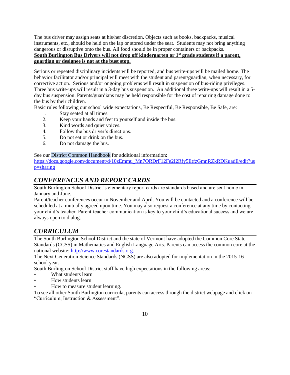The bus driver may assign seats at his/her discretion. Objects such as books, backpacks, musical instruments, etc., should be held on the lap or stored under the seat. Students may not bring anything dangerous or disruptive onto the bus. All food should be in proper containers or backpacks. **South Burlington Bus Drivers will not drop off kindergarten or 1st grade students if a parent, guardian or designee is not at the bust stop.**

Serious or repeated disciplinary incidents will be reported, and bus write-ups will be mailed home. The behavior facilitator and/or principal will meet with the student and parent/guardian, when necessary, for corrective action. Serious and/or ongoing problems will result in suspension of bus-riding privileges. Three bus write-ups will result in a 3-day bus suspension. An additional three write-ups will result in a 5 day bus suspension. Parents/guardians may be held responsible for the cost of repairing damage done to the bus by their children.

Basic rules following our school wide expectations, Be Respectful, Be Responsible, Be Safe, are:

- 1. Stay seated at all times.
- 2. Keep your hands and feet to yourself and inside the bus.
- 3. Kind words and quiet voices.
- 4. Follow the bus driver's directions.
- 5. Do not eat or drink on the bus.
- 6. Do not damage the bus.

See our District Common Handbook for additional information:

[https://docs.google.com/document/d/10zEmmu\\_Mn7ORDrF12Fe2I2Rfy5EtfzGmnRZkRDKuadE/edit?us](https://docs.google.com/document/d/10zEmmu_Mn7ORDrF12Fe2I2Rfy5EtfzGmnRZkRDKuadE/edit?usp=sharing) [p=sharing](https://docs.google.com/document/d/10zEmmu_Mn7ORDrF12Fe2I2Rfy5EtfzGmnRZkRDKuadE/edit?usp=sharing)

## *CONFERENCES AND REPORT CARDS*

South Burlington School District's elementary report cards are standards based and are sent home in January and June.

Parent/teacher conferences occur in November and April. You will be contacted and a conference will be scheduled at a mutually agreed upon time. You may also request a conference at any time by contacting your child's teacher. Parent-teacher communication is key to your child's educational success and we are always open to dialog.

## *CURRICULUM*

The South Burlington School District and the state of Vermont have adopted the Common Core State Standards (CCSS) in Mathematics and English Language Arts. Parents can access the common core at the national website: [http://www.corestandards.org.](http://www.corestandards.org/)

The Next Generation Science Standards (NGSS) are also adopted for implementation in the 2015-16 school year.

South Burlington School District staff have high expectations in the following areas:

- What students learn
- How students learn
- How to measure student learning.

To see all other South Burlington curricula, parents can access through the district webpage and click on "Curriculum, Instruction & Assessment".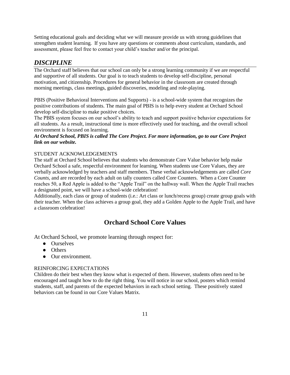Setting educational goals and deciding what we will measure provide us with strong guidelines that strengthen student learning. If you have any questions or comments about curriculum, standards, and assessment, please feel free to contact your child's teacher and/or the principal.

### *DISCIPLINE*

The Orchard staff believes that our school can only be a strong learning community if we are respectful and supportive of all students. Our goal is to teach students to develop self-discipline, personal motivation, and citizenship. Procedures for general behavior in the classroom are created through morning meetings, class meetings, guided discoveries, modeling and role-playing.

PBIS (Positive Behavioral Interventions and Supports) - is a school-wide system that recognizes the positive contributions of students. The main goal of PBIS is to help every student at Orchard School develop self-discipline to make positive choices.

The PBIS system focuses on our school's ability to teach and support positive behavior expectations for all students. As a result, instructional time is more effectively used for teaching, and the overall school environment is focused on learning.

#### *At Orchard School, PBIS is called The Core Project. For more information, go to our Core Project link on our website.*

#### STUDENT ACKNOWLEDGEMENTS

The staff at Orchard School believes that students who demonstrate Core Value behavior help make Orchard School a safe, respectful environment for learning. When students use Core Values, they are verbally acknowledged by teachers and staff members. These verbal acknowledgements are called *Core Counts*, and are recorded by each adult on tally counters called Core Counters. When a Core Counter reaches 50, a Red Apple is added to the "Apple Trail" on the hallway wall. When the Apple Trail reaches a designated point, we will have a school-wide celebration!

Additionally, each class or group of students (i.e.: Art class or lunch/recess group) create group goals with their teacher. When the class achieves a group goal, they add a Golden Apple to the Apple Trail, and have a classroom celebration!

## **Orchard School Core Values**

At Orchard School, we promote learning through respect for:

- Ourselves
- Others
- Our environment.

#### REINFORCING EXPECTATIONS

Children do their best when they know what is expected of them. However, students often need to be encouraged and taught how to do the right thing. You will notice in our school, posters which remind students, staff, and parents of the expected behaviors in each school setting. These positively stated behaviors can be found in our Core Values Matrix.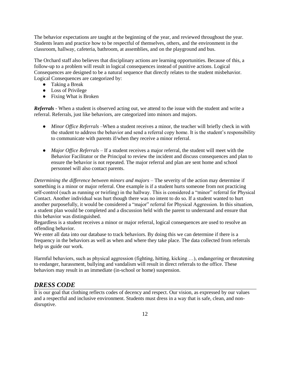The behavior expectations are taught at the beginning of the year, and reviewed throughout the year. Students learn and practice how to be respectful of themselves, others, and the environment in the classroom, hallway, cafeteria, bathroom, at assemblies, and on the playground and bus.

The Orchard staff also believes that disciplinary actions are learning opportunities. Because of this, a follow-up to a problem will result in logical consequences instead of punitive actions. Logical Consequences are designed to be a natural sequence that directly relates to the student misbehavior. Logical Consequences are categorized by:

- Taking a Break
- Loss of Privilege
- Fixing What is Broken

*Referrals -* When a student is observed acting out, we attend to the issue with the student and write a referral. Referrals, just like behaviors, are categorized into minors and majors.

- *Minor Office Referrals* –When a student receives a minor, the teacher will briefly check in with the student to address the behavior and send a referral copy home. It is the student's responsibility to communicate with parents if/when they receive a minor referral.
- *Major Office Referrals* If a student receives a major referral, the student will meet with the Behavior Facilitator or the Principal to review the incident and discuss consequences and plan to ensure the behavior is not repeated. The major referral and plan are sent home and school personnel will also contact parents.

*Determining the difference between minors and majors* – The severity of the action may determine if something is a minor or major referral. One example is if a student hurts someone from not practicing self-control (such as running or twirling) in the hallway. This is considered a "minor" referral for Physical Contact. Another individual was hurt though there was no intent to do so. If a student wanted to hurt another purposefully, it would be considered a "major" referral for Physical Aggression. In this situation, a student plan would be completed and a discussion held with the parent to understand and ensure that this behavior was distinguished.

Regardless is a student receives a minor or major referral, logical consequences are used to resolve an offending behavior.

We enter all data into our database to track behaviors. By doing this we can determine if there is a frequency in the behaviors as well as when and where they take place. The data collected from referrals help us guide our work.

Harmful behaviors, such as physical aggression (fighting, hitting, kicking …), endangering or threatening to endanger, harassment, bullying and vandalism will result in direct referrals to the office. These behaviors may result in an immediate (in-school or home) suspension.

## *DRESS CODE*

It is our goal that clothing reflects codes of decency and respect. Our vision, as expressed by our values and a respectful and inclusive environment. Students must dress in a way that is safe, clean, and nondisruptive.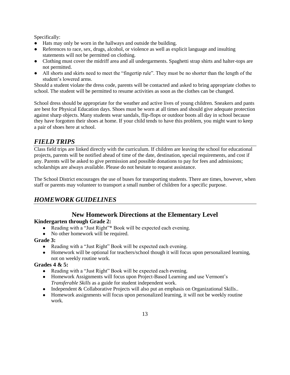Specifically:

- Hats may only be worn in the hallways and outside the building.
- References to race, sex, drugs, alcohol, or violence as well as explicit language and insulting statements will not be permitted on clothing.
- Clothing must cover the midriff area and all undergarments. Spaghetti strap shirts and halter-tops are not permitted.
- All shorts and skirts need to meet the "fingertip rule". They must be no shorter than the length of the student's lowered arms.

Should a student violate the dress code, parents will be contacted and asked to bring appropriate clothes to school. The student will be permitted to resume activities as soon as the clothes can be changed.

School dress should be appropriate for the weather and active lives of young children. Sneakers and pants are best for Physical Education days. Shoes must be worn at all times and should give adequate protection against sharp objects. Many students wear sandals, flip-flops or outdoor boots all day in school because they have forgotten their shoes at home. If your child tends to have this problem, you might want to keep a pair of shoes here at school.

## *FIELD TRIPS*

Class field trips are linked directly with the curriculum. If children are leaving the school for educational projects, parents will be notified ahead of time of the date, destination, special requirements, and cost if any. Parents will be asked to give permission and possible donations to pay for fees and admissions; scholarships are always available. Please do not hesitate to request assistance.

The School District encourages the use of buses for transporting students. There are times, however, when staff or parents may volunteer to transport a small number of children for a specific purpose.

## *HOMEWORK GUIDELINES*

# **New Homework Directions at the Elementary Level**

#### **Kindergarten through Grade 2:**

- Reading with a "Just Right"\* Book will be expected each evening.
- No other homework will be required.

#### **Grade 3:**

- Reading with a "Just Right" Book will be expected each evening.
- Homework will be optional for teachers/school though it will focus upon personalized learning, not on weekly routine work.

#### **Grades 4 & 5:**

- Reading with a "Just Right" Book will be expected each evening.
- Homework Assignments will focus upon Project-Based Learning and use Vermont's *Transferable Skills* as a guide for student independent work.
- Independent & Collaborative Projects will also put an emphasis on Organizational Skills..
- Homework assignments will focus upon personalized learning, it will not be weekly routine work.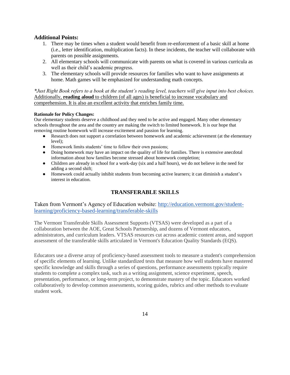#### **Additional Points:**

- 1. There may be times when a student would benefit from re-enforcement of a basic skill at home (i.e., letter identification, multiplication facts). In these incidents, the teacher will collaborate with parents on possible assignments.
- 2. All elementary schools will communicate with parents on what is covered in various curricula as well as their child's academic progress.
- 3. The elementary schools will provide resources for families who want to have assignments at home. Math games will be emphasized for understanding math concepts.

*\*Just Right Book refers to a book at the student's reading level, teachers will give input into best choices.* Additionally, **reading aloud** to children (of all ages) is beneficial to increase vocabulary and comprehension. It is also an excellent activity that enriches family time.

#### **Rationale for Policy Changes:**

Our elementary students deserve a childhood and they need to be active and engaged. Many other elementary schools throughout the area and the country are making the switch to limited homework. It is our hope that removing routine homework will increase excitement and passion for learning.

- Research does not support a correlation between homework and academic achievement (at the elementary level);
- Homework limits students' time to follow their own passions;
- Doing homework may have an impact on the quality of life for families. There is extensive anecdotal information about how families become stressed about homework completion;
- Children are already in school for a work-day (six and a half hours), we do not believe in the need for adding a second shift;
- Homework could actually inhibit students from becoming active learners; it can diminish a student's interest in education.

#### **TRANSFERABLE SKILLS**

Taken from Vermont's Agency of Education website: [http://education.vermont.gov/student](http://education.vermont.gov/student-learning/proficiency-based-learning/transferable-skills)[learning/proficiency-based-learning/transferable-skills](http://education.vermont.gov/student-learning/proficiency-based-learning/transferable-skills)

The Vermont Transferable Skills Assessment Supports (VTSAS) were developed as a part of a collaboration between the AOE, Great Schools Partnership, and dozens of Vermont educators, administrators, and curriculum leaders. VTSAS resources cut across academic content areas, and support assessment of the transferable skills articulated in Vermont's Education Quality Standards (EQS).

Educators use a diverse array of proficiency-based assessment tools to measure a student's comprehension of specific elements of learning. Unlike standardized tests that measure how well students have mastered specific knowledge and skills through a series of questions, performance assessments typically require students to complete a complex task, such as a writing assignment, science experiment, speech, presentation, performance, or long-term project, to demonstrate mastery of the topic. Educators worked collaboratively to develop common assessments, scoring guides, rubrics and other methods to evaluate student work.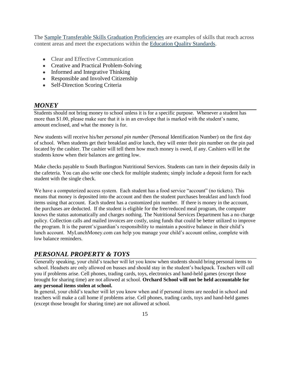The [Sample Transferable Skills Graduation Proficiencies](http://education.vermont.gov/student-learning/proficiency-based-learning/proficiency-based-graduation-requirements) are examples of skills that reach across content areas and meet the expectations within the [Education Quality Standards.](http://education.vermont.gov/sites/aoe/files/documents/edu-state-board-rules-series-2000.pdf)

- Clear and Effective Communication
- Creative and Practical Problem-Solving
- Informed and Integrative Thinking
- Responsible and Involved Citizenship
- Self-Direction Scoring Criteria

#### *MONEY*

Students should not bring money to school unless it is for a specific purpose. Whenever a student has more than \$1.00, please make sure that it is in an envelope that is marked with the student's name, amount enclosed, and what the money is for.

New students will receive his/her *personal pin number* (Personal Identification Number) on the first day of school. When students get their breakfast and/or lunch, they will enter their pin number on the pin pad located by the cashier. The cashier will tell them how much money is owed, if any. Cashiers will let the students know when their balances are getting low.

Make checks payable to South Burlington Nutritional Services. Students can turn in their deposits daily in the cafeteria. You can also write one check for multiple students; simply include a deposit form for each student with the single check.

We have a computerized access system. Each student has a food service "account" (no tickets). This means that money is deposited into the account and then the student purchases breakfast and lunch food items using that account. Each student has a customized pin number. If there is money in the account, the purchases are deducted. If the student is eligible for the free/reduced meal program, the computer knows the status automatically and charges nothing. The Nutritional Services Department has a no charge policy. Collection calls and mailed invoices are costly, using funds that could be better utilized to improve the program. It is the parent's/guardian's responsibility to maintain a positive balance in their child's lunch account. MyLunchMoney.com can help you manage your child's account online, complete with low balance reminders.

## *PERSONAL PROPERTY & TOYS*

Generally speaking, your child's teacher will let you know when students should bring personal items to school. Headsets are only allowed on busses and should stay in the student's backpack. Teachers will call you if problems arise. Cell phones, trading cards, toys, electronics and hand-held games (except those brought for sharing time) are not allowed at school. **Orchard School will not be held accountable for any personal items stolen at school.**

In general, your child's teacher will let you know when and if personal items are needed in school and teachers will make a call home if problems arise. Cell phones, trading cards, toys and hand-held games (except those brought for sharing time) are not allowed at school.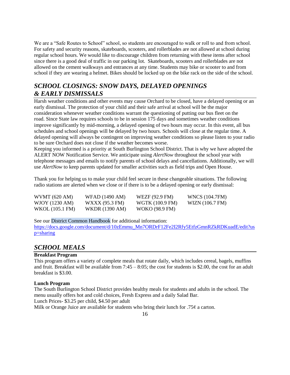We are a "Safe Routes to School" school, so students are encouraged to walk or roll to and from school. For safety and security reasons, skateboards, scooters, and rollerblades are not allowed at school during regular school hours. We would like to discourage children from returning with these items after school since there is a good deal of traffic in our parking lot. Skateboards, scooters and rollerblades are not allowed on the cement walkways and entrances at any time. Students may bike or scooter to and from school if they are wearing a helmet. Bikes should be locked up on the bike rack on the side of the school.

## *SCHOOL CLOSINGS: SNOW DAYS, DELAYED OPENINGS & EARLY DISMISSALS*

Harsh weather conditions and other events may cause Orchard to be closed, have a delayed opening or an early dismissal. The protection of your child and their safe arrival at school will be the major consideration whenever weather conditions warrant the questioning of putting our bus fleet on the road. Since State law requires schools to be in session 175 days and sometimes weather conditions improve significantly by mid-morning, a delayed opening of two hours may occur. In this event, all bus schedules and school openings will be delayed by two hours. Schools will close at the regular time. A delayed opening will always be contingent on improving weather conditions so please listen to your radio to be sure Orchard does not close if the weather becomes worse.

Keeping you informed is a priority at South Burlington School District. That is why we have adopted the ALERT NOW Notification Service. We anticipate using *AlertNow* throughout the school year with telephone messages and emails to notify parents of school delays and cancellations. Additionally, we will use *AlertNow* to keep parents updated for smaller activities such as field trips and Open House.

Thank you for helping us to make your child feel secure in these changeable situations. The following radio stations are alerted when we close or if there is to be a delayed opening or early dismissal:

| WVMT (620 AM)   | WFAD (1490 AM)        | WEZF (92.9 FM)        | WNCS (104.7FM)  |
|-----------------|-----------------------|-----------------------|-----------------|
| WJOY (1230 AM)  | WXXX (95.3 FM)        | WGTK (100.9 FM)       | WIZN (106.7 FM) |
| WKOL (105.1 FM) | <b>WKDR</b> (1390 AM) | <b>WOKO</b> (98.9 FM) |                 |

See our District Common Handbook for additional information:

[https://docs.google.com/document/d/10zEmmu\\_Mn7ORDrF12Fe2I2Rfy5EtfzGmnRZkRDKuadE/edit?us](https://docs.google.com/document/d/10zEmmu_Mn7ORDrF12Fe2I2Rfy5EtfzGmnRZkRDKuadE/edit?usp=sharing) [p=sharing](https://docs.google.com/document/d/10zEmmu_Mn7ORDrF12Fe2I2Rfy5EtfzGmnRZkRDKuadE/edit?usp=sharing)

#### *SCHOOL MEALS*

#### **Breakfast Program**

This program offers a variety of complete meals that rotate daily, which includes cereal, bagels, muffins and fruit. Breakfast will be available from 7:45 – 8:05; the cost for students is \$2.00, the cost for an adult breakfast is \$3.00.

#### **Lunch Program**

The South Burlington School District provides healthy meals for students and adults in the school. The menu usually offers hot and cold choices, Fresh Express and a daily Salad Bar. Lunch Prices- \$3.25 per child, \$4.50 per adult

Milk or Orange Juice are available for students who bring their lunch for .75 $\phi$  a carton.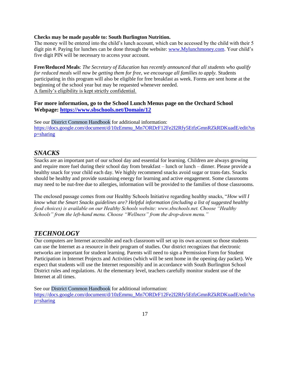#### **Checks may be made payable to: South Burlington Nutrition.**

The money will be entered into the child's lunch account, which can be accessed by the child with their 5 digit pin #. Paying for lunches can be done through the website: [www.Mylunchmoney.com.](http://www.mylunchmoney.com/) Your child's five digit PIN will be necessary to access your account.

**Free/Reduced Meals**: *The Secretary of Education has recently announced that all students who qualify for reduced meals will now be getting them for free, we encourage all families to apply.* Students participating in this program will also be eligible for free breakfast as week. Forms are sent home at the beginning of the school year but may be requested whenever needed. A family's eligibility is kept strictly confidential.

#### **For more information, go to the School Lunch Menus page on the Orchard School Webpage:<https://www.sbschools.net/Domain/12>**

See our District Common Handbook for additional information: [https://docs.google.com/document/d/10zEmmu\\_Mn7ORDrF12Fe2I2Rfy5EtfzGmnRZkRDKuadE/edit?us](https://docs.google.com/document/d/10zEmmu_Mn7ORDrF12Fe2I2Rfy5EtfzGmnRZkRDKuadE/edit?usp=sharing) [p=sharing](https://docs.google.com/document/d/10zEmmu_Mn7ORDrF12Fe2I2Rfy5EtfzGmnRZkRDKuadE/edit?usp=sharing)

#### *SNACKS*

Snacks are an important part of our school day and essential for learning. Children are always growing and require more fuel during their school day from breakfast – lunch or lunch – dinner. Please provide a healthy snack for your child each day. We highly recommend snacks avoid sugar or trans-fats. Snacks should be healthy and provide sustaining energy for learning and active engagement. Some classrooms may need to be nut-free due to allergies, information will be provided to the families of those classrooms.

The enclosed passage comes from our Healthy Schools Initiative regarding healthy snacks, "*How will I know what the Smart Snacks guidelines are? Helpful information (including a list of suggested healthy food choices) is available on our Healthy Schools website: www.sbschools.net. Choose "Healthy Schools" from the left-hand menu. Choose "Wellness" from the drop-down menu."*

#### *TECHNOLOGY*

Our computers are Internet accessible and each classroom will set up its own account so those students can use the Internet as a resource in their program of studies. Our district recognizes that electronic networks are important for student learning. Parents will need to sign a Permission Form for Student Participation in Internet Projects and Activities (which will be sent home in the opening day packet). We expect that students will use the Internet responsibly and in accordance with South Burlington School District rules and regulations. At the elementary level, teachers carefully monitor student use of the Internet at all times.

See our District Common Handbook for additional information:

[https://docs.google.com/document/d/10zEmmu\\_Mn7ORDrF12Fe2I2Rfy5EtfzGmnRZkRDKuadE/edit?us](https://docs.google.com/document/d/10zEmmu_Mn7ORDrF12Fe2I2Rfy5EtfzGmnRZkRDKuadE/edit?usp=sharing) [p=sharing](https://docs.google.com/document/d/10zEmmu_Mn7ORDrF12Fe2I2Rfy5EtfzGmnRZkRDKuadE/edit?usp=sharing)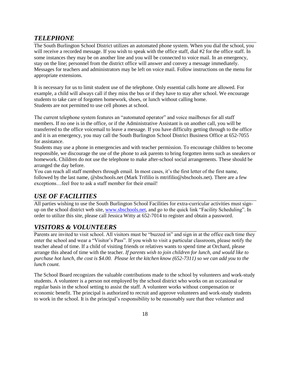#### *TELEPHONE*

The South Burlington School District utilizes an automated phone system. When you dial the school, you will receive a recorded message. If you wish to speak with the office staff, dial #2 for the office staff. In some instances they may be on another line and you will be connected to voice mail. In an emergency, stay on the line; personnel from the district office will answer and convey a message immediately. Messages for teachers and administrators may be left on voice mail. Follow instructions on the menu for appropriate extensions.

It is necessary for us to limit student use of the telephone. Only essential calls home are allowed. For example, a child will always call if they miss the bus or if they have to stay after school. We encourage students to take care of forgotten homework, shoes, or lunch without calling home. Students are not permitted to use cell phones at school.

The current telephone system features an "automated operator" and voice mailboxes for all staff members. If no one is in the office, or if the Administrative Assistant is on another call, you will be transferred to the office voicemail to leave a message. If you have difficulty getting through to the office and it is an emergency, you may call the South Burlington School District Business Office at 652-7055 for assistance.

Students may use a phone in emergencies and with teacher permission. To encourage children to become responsible, we discourage the use of the phone to ask parents to bring forgotten items such as sneakers or homework. Children do not use the telephone to make after-school social arrangements. These should be arranged the day before.

You can reach all staff members through email. In most cases, it's the first letter of the first name, followed by the last name, @sbschools.net (Mark Trifilio is mtrifilio@sbschools.net). There are a few exceptions…feel free to ask a staff member for their email!

## *USE OF FACILITIES*

All parties wishing to use the South Burlington School Facilities for extra-curricular activities must signup on the school district web site, [www.sbschools.net,](http://www.sbschools.net/) and go to the quick link "Facility Scheduling". In order to utilize this site, please call Jessica Witty at 652-7014 to register and obtain a password.

## *VISITORS & VOLUNTEERS*

Parents are invited to visit school. All visitors must be "buzzed in" and sign in at the office each time they enter the school and wear a "Visitor's Pass". If you wish to visit a particular classroom, please notify the teacher ahead of time. If a child of visiting friends or relatives wants to spend time at Orchard, please arrange this ahead of time with the teacher. *If parents wish to join children for lunch, and would like to purchase hot lunch, the cost is \$4.00. Please let the kitchen know (652-7311) so we can add you to the lunch count.* 

The School Board recognizes the valuable contributions made to the school by volunteers and work-study students. A volunteer is a person not employed by the school district who works on an occasional or regular basis in the school setting to assist the staff. A volunteer works without compensation or economic benefit. The principal is authorized to recruit and approve volunteers and work-study students to work in the school. It is the principal's responsibility to be reasonably sure that thee volunteer and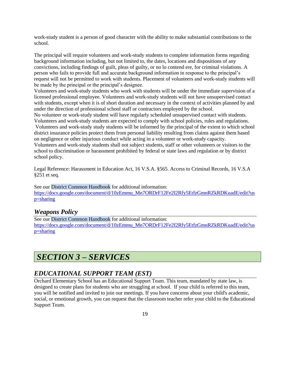work-study student is a person of good character with the ability to make substantial contributions to the school.

The principal will require volunteers and work-study students to complete information forms regarding background information including, but not limited to, the dates, locations and dispositions of any convictions, including findings of guilt, pleas of guilty, or no lo contend ere, for criminal violations. A person who fails to provide full and accurate background information in response to the principal's request will not be permitted to work with students. Placement of volunteers and work-study students will be made by the principal or the principal's designee.

Volunteers and work-study students who work with students will be under the immediate supervision of a licensed professional employee. Volunteers and work-study students will not have unsupervised contact with students, except when it is of short duration and necessary in the context of activities planned by and under the direction of professional school staff or contractors employed by the school.

No volunteer or work-study student will have regularly scheduled unsupervised contact with students. Volunteers and work-study students are expected to comply with school policies, rules and regulations.

Volunteers and work-study study students will be informed by the principal of the extent to which school district insurance policies protect them from personal liability resulting from claims against them based on negligence or other injurious conduct while acting in a volunteer or work-study capacity.

Volunteers and work-study students shall not subject students, staff or other volunteers or visitors to the school to discrimination or harassment prohibited by federal or state laws and regulation or by district school policy.

Legal Reference: Harassment in Education Act, 16 V.S.A. §565. Access to Criminal Records, 16 V.S.A §251 et seq.

See our District Common Handbook for additional information: [https://docs.google.com/document/d/10zEmmu\\_Mn7ORDrF12Fe2I2Rfy5EtfzGmnRZkRDKuadE/edit?us](https://docs.google.com/document/d/10zEmmu_Mn7ORDrF12Fe2I2Rfy5EtfzGmnRZkRDKuadE/edit?usp=sharing) [p=sharing](https://docs.google.com/document/d/10zEmmu_Mn7ORDrF12Fe2I2Rfy5EtfzGmnRZkRDKuadE/edit?usp=sharing)

#### *Weapons Policy*

See our District Common Handbook for additional information: [https://docs.google.com/document/d/10zEmmu\\_Mn7ORDrF12Fe2I2Rfy5EtfzGmnRZkRDKuadE/edit?us](https://docs.google.com/document/d/10zEmmu_Mn7ORDrF12Fe2I2Rfy5EtfzGmnRZkRDKuadE/edit?usp=sharing) [p=sharing](https://docs.google.com/document/d/10zEmmu_Mn7ORDrF12Fe2I2Rfy5EtfzGmnRZkRDKuadE/edit?usp=sharing)

## *SECTION 3 – SERVICES*

#### *EDUCATIONAL SUPPORT TEAM (EST)*

Orchard Elementary School has an Educational Support Team. This team, mandated by *s*tate law, is designed to create plans for students who are struggling at school. If your child is referred to this team, you will be notified and invited to join our meetings. If you have concerns about your child's academic, social, or emotional growth, you can request that the classroom teacher refer your child to the Educational Support Team.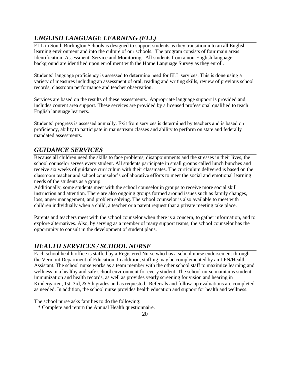## *ENGLISH LANGUAGE LEARNING (ELL)*

ELL in South Burlington Schools is designed to support students as they transition into an all English learning environment and into the culture of our schools. The program consists of four main areas: Identification, Assessment, Service and Monitoring. All students from a non-English language background are identified upon enrollment with the Home Language Survey as they enroll.

Students' language proficiency is assessed to determine need for ELL services. This is done using a variety of measures including an assessment of oral, reading and writing skills, review of previous school records, classroom performance and teacher observation.

Services are based on the results of these assessments. Appropriate language support is provided and includes content area support. These services are provided by a licensed professional qualified to teach English language learners.

Students' progress is assessed annually. Exit from services is determined by teachers and is based on proficiency, ability to participate in mainstream classes and ability to perform on state and federally mandated assessments.

## *GUIDANCE SERVICES*

Because all children need the skills to face problems, disappointments and the stresses in their lives, the school counselor serves every student. All students participate in small groups called lunch bunches and receive six weeks of guidance curriculum with their classmates. The curriculum delivered is based on the classroom teacher and school counselor's collaborative efforts to meet the social and emotional learning needs of the students as a group.

Additionally, some students meet with the school counselor in groups to receive more social skill instruction and attention. There are also ongoing groups formed around issues such as family changes, loss, anger management, and problem solving. The school counselor is also available to meet with children individually when a child, a teacher or a parent request that a private meeting take place.

Parents and teachers meet with the school counselor when there is a concern, to gather information, and to explore alternatives. Also, by serving as a member of many support teams, the school counselor has the opportunity to consult in the development of student plans.

## *HEALTH SERVICES / SCHOOL NURSE*

Each school health office is staffed by a Registered Nurse who has a school nurse endorsement through the Vermont Department of Education. In addition, staffing may be complemented by an LPN/Health Assistant. The school nurse works as a team member with the other school staff to maximize learning and wellness in a healthy and safe school environment for every student. The school nurse maintains student immunization and health records, as well as provides yearly screening for vision and hearing in Kindergarten, 1st, 3rd, & 5th grades and as requested. Referrals and follow-up evaluations are completed as needed. In addition, the school nurse provides health education and support for health and wellness.

The school nurse asks families to do the following:

\* Complete and return the Annual Health questionnaire.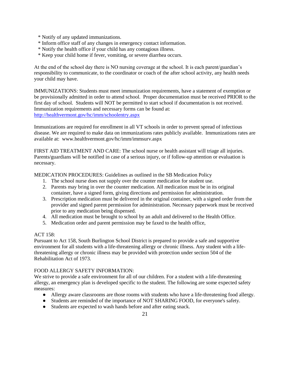- \* Notify of any updated immunizations.
- \* Inform office staff of any changes in emergency contact information.
- \* Notify the health office if your child has any contagious illness.
- \* Keep your child home if fever, vomiting, or severe diarrhea occurs.

At the end of the school day there is NO nursing coverage at the school. It is each parent/guardian's responsibility to communicate, to the coordinator or coach of the after school activity, any health needs your child may have.

IMMUNIZATIONS: Students must meet immunization requirements, have a statement of exemption or be provisionally admitted in order to attend school. Proper documentation must be received PRIOR to the first day of school. Students will NOT be permitted to start school if documentation is not received. Immunization requirements and necessary forms can be found at: <http://healthvermont.gov/hc/imm/schoolentry.aspx>

Immunizations are required for enrollment in all VT schools in order to prevent spread of infectious disease. We are required to make data on immunizations rates publicly available. Immunizations rates are available at: www.healthvermont.gov/hc/imm/immsurv.aspx

FIRST AID TREATMENT AND CARE: The school nurse or health assistant will triage all injuries. Parents/guardians will be notified in case of a serious injury, or if follow-up attention or evaluation is necessary.

MEDICATION PROCEDURES: Guidelines as outlined in the SB Medication Policy

- 1. The school nurse does not supply over the counter medication for student use.
- 2. Parents may bring in over the counter medication. All medication must be in its original container, have a signed form, giving directions and permission for administration.
- 3. Prescription medication must be delivered in the original container, with a signed order from the provider and signed parent permission for administration. Necessary paperwork must be received prior to any medication being dispensed.
- 4. All medication must be brought to school by an adult and delivered to the Health Office.
- 5. Medication order and parent permission may be faxed to the health office,

#### ACT 158:

Pursuant to Act 158, South Burlington School District is prepared to provide a safe and supportive environment for all students with a life-threatening allergy or chronic illness. Any student with a lifethreatening allergy or chronic illness may be provided with protection under section 504 of the Rehabilitation Act of 1973.

#### FOOD ALLERGY SAFETY INFORMATION:

We strive to provide a safe environment for all of our children. For a student with a life-threatening allergy, an emergency plan is developed specific to the student. The following are some expected safety measures:

- Allergy aware classrooms are those rooms with students who have a life-threatening food allergy.
- Students are reminded of the importance of NOT SHARING FOOD, for everyone's safety.
- Students are expected to wash hands before and after eating snack.